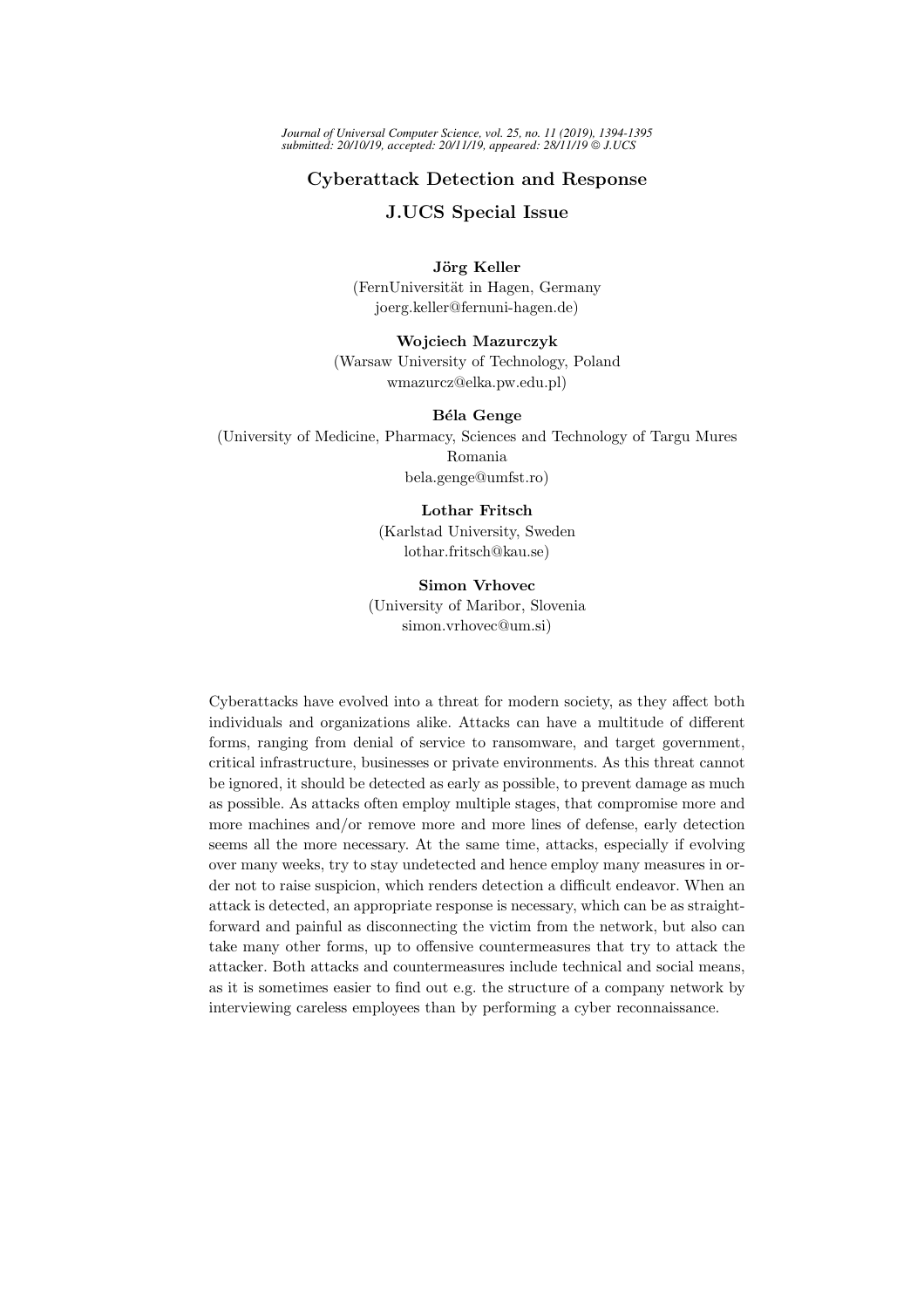*Journal of Universal Computer Science, vol. 25, no. 11 (2019), 1394-1395 submitted: 20/10/19, accepted: 20/11/19, appeared: 28/11/19 J.UCS*

## Cyberattack Detection and Response

### J.UCS Special Issue

Jörg Keller (FernUniversität in Hagen, Germany joerg.keller@fernuni-hagen.de)

Wojciech Mazurczyk (Warsaw University of Technology, Poland wmazurcz@elka.pw.edu.pl)

#### Béla Genge

(University of Medicine, Pharmacy, Sciences and Technology of Targu Mures Romania bela.genge@umfst.ro)

#### Lothar Fritsch

(Karlstad University, Sweden lothar.fritsch@kau.se)

# Simon Vrhovec

(University of Maribor, Slovenia simon.vrhovec@um.si)

Cyberattacks have evolved into a threat for modern society, as they affect both individuals and organizations alike. Attacks can have a multitude of different forms, ranging from denial of service to ransomware, and target government, critical infrastructure, businesses or private environments. As this threat cannot be ignored, it should be detected as early as possible, to prevent damage as much as possible. As attacks often employ multiple stages, that compromise more and more machines and/or remove more and more lines of defense, early detection seems all the more necessary. At the same time, attacks, especially if evolving over many weeks, try to stay undetected and hence employ many measures in order not to raise suspicion, which renders detection a difficult endeavor. When an attack is detected, an appropriate response is necessary, which can be as straightforward and painful as disconnecting the victim from the network, but also can take many other forms, up to offensive countermeasures that try to attack the attacker. Both attacks and countermeasures include technical and social means, as it is sometimes easier to find out e.g. the structure of a company network by interviewing careless employees than by performing a cyber reconnaissance.